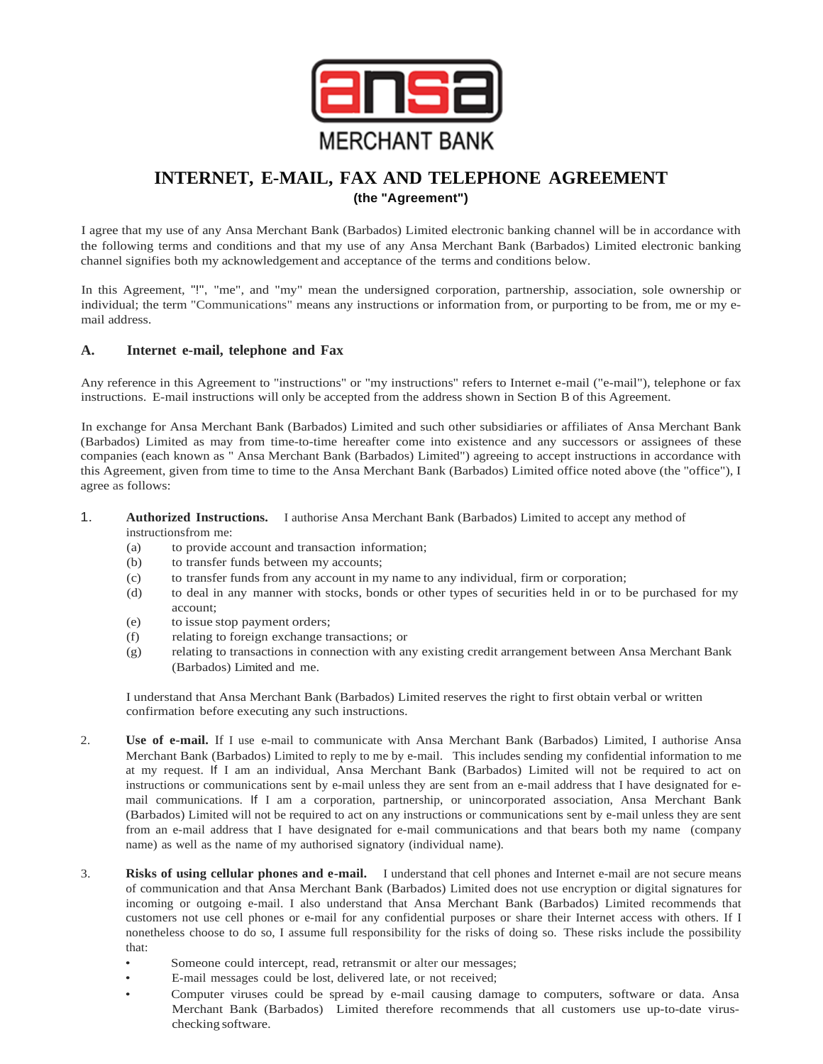

## **INTERNET, E-MAIL, FAX AND TELEPHONE AGREEMENT (the "Agreement")**

I agree that my use of any Ansa Merchant Bank (Barbados) Limited electronic banking channel will be in accordance with the following terms and conditions and that my use of any Ansa Merchant Bank (Barbados) Limited electronic banking channel signifies both my acknowledgement and acceptance of the terms and conditions below.

In this Agreement, "!", "me", and "my" mean the undersigned corporation, partnership, association, sole ownership or individual; the term "Communications" means any instructions or information from, or purporting to be from, me or my email address.

## **A. Internet e-mail, telephone and Fax**

Any reference in this Agreement to "instructions" or "my instructions" refers to Internet e-mail ("e-mail"), telephone or fax instructions. E-mail instructions will only be accepted from the address shown in Section B of this Agreement.

In exchange for Ansa Merchant Bank (Barbados) Limited and such other subsidiaries or affiliates of Ansa Merchant Bank (Barbados) Limited as may from time-to-time hereafter come into existence and any successors or assignees of these companies (each known as " Ansa Merchant Bank (Barbados) Limited") agreeing to accept instructions in accordance with this Agreement, given from time to time to the Ansa Merchant Bank (Barbados) Limited office noted above (the "office"), I agree as follows:

- 1. **Authorized Instructions.** I authorise Ansa Merchant Bank (Barbados) Limited to accept any method of instructionsfrom me:
	- (a) to provide account and transaction information;
	- (b) to transfer funds between my accounts;
	- (c) to transfer funds from any account in my name to any individual, firm or corporation;
	- (d) to deal in any manner with stocks, bonds or other types of securities held in or to be purchased for my account;
	- (e) to issue stop payment orders;
	- (f) relating to foreign exchange transactions; or
	- (g) relating to transactions in connection with any existing credit arrangement between Ansa Merchant Bank (Barbados) Limited and me.

I understand that Ansa Merchant Bank (Barbados) Limited reserves the right to first obtain verbal or written confirmation before executing any such instructions.

- 2. **Use of e-mail.** If I use e-mail to communicate with Ansa Merchant Bank (Barbados) Limited, I authorise Ansa Merchant Bank (Barbados) Limited to reply to me by e-mail. This includes sending my confidential information to me at my request. If I am an individual, Ansa Merchant Bank (Barbados) Limited will not be required to act on instructions or communications sent by e-mail unless they are sent from an e-mail address that I have designated for email communications. If I am a corporation, partnership, or unincorporated association, Ansa Merchant Bank (Barbados) Limited will not be required to act on any instructions or communications sent by e-mail unless they are sent from an e-mail address that I have designated for e-mail communications and that bears both my name (company name) as well as the name of my authorised signatory (individual name).
- 3. **Risks of using cellular phones and e-mail.** I understand that cell phones and Internet e-mail are not secure means of communication and that Ansa Merchant Bank (Barbados) Limited does not use encryption or digital signatures for incoming or outgoing e-mail. I also understand that Ansa Merchant Bank (Barbados) Limited recommends that customers not use cell phones or e-mail for any confidential purposes or share their Internet access with others. If I nonetheless choose to do so, I assume full responsibility for the risks of doing so. These risks include the possibility that:
	- Someone could intercept, read, retransmit or alter our messages;
	- E-mail messages could be lost, delivered late, or not received;
	- Computer viruses could be spread by e-mail causing damage to computers, software or data. Ansa Merchant Bank (Barbados) Limited therefore recommends that all customers use up-to-date viruschecking software.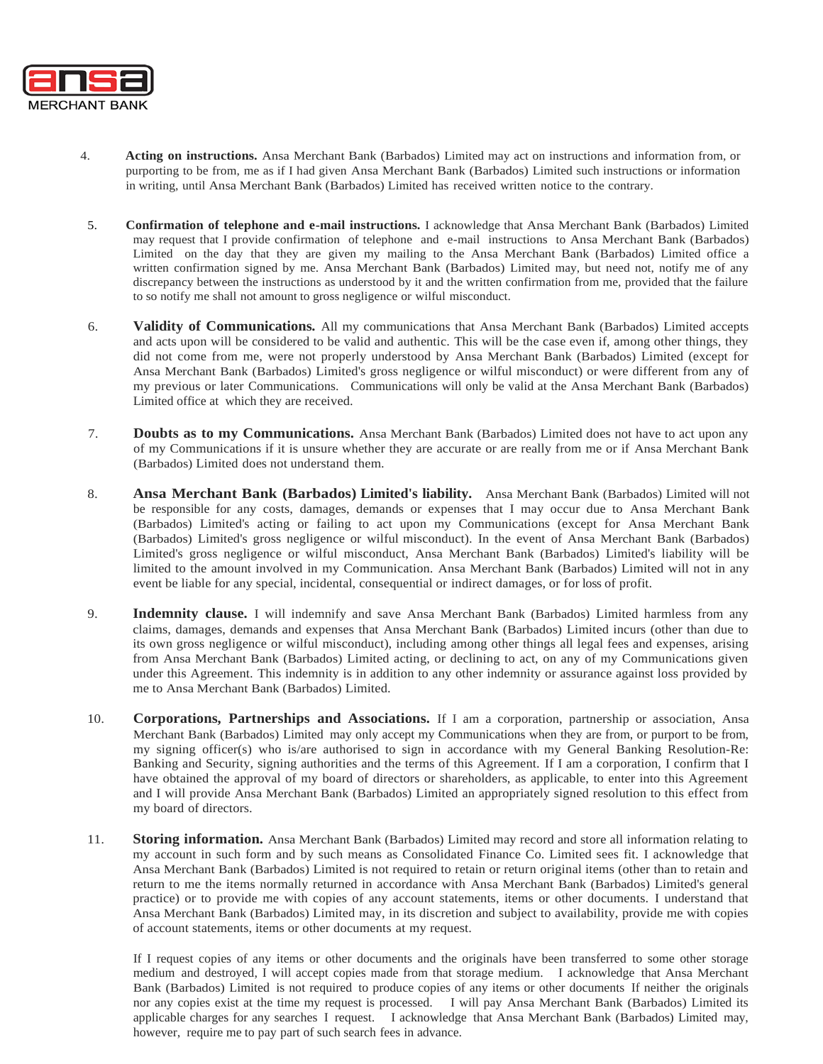

- 4. **Acting on instructions.** Ansa Merchant Bank (Barbados) Limited may act on instructions and information from, or purporting to be from, me as if I had given Ansa Merchant Bank (Barbados) Limited such instructions or information in writing, until Ansa Merchant Bank (Barbados) Limited has received written notice to the contrary.
- 5. **Confirmation of telephone and e-mail instructions.** I acknowledge that Ansa Merchant Bank (Barbados) Limited may request that I provide confirmation of telephone and e-mail instructions to Ansa Merchant Bank (Barbados) Limited on the day that they are given my mailing to the Ansa Merchant Bank (Barbados) Limited office a written confirmation signed by me. Ansa Merchant Bank (Barbados) Limited may, but need not, notify me of any discrepancy between the instructions as understood by it and the written confirmation from me, provided that the failure to so notify me shall not amount to gross negligence or wilful misconduct.
- 6. **Validity of Communications.** All my communications that Ansa Merchant Bank (Barbados) Limited accepts and acts upon will be considered to be valid and authentic. This will be the case even if, among other things, they did not come from me, were not properly understood by Ansa Merchant Bank (Barbados) Limited (except for Ansa Merchant Bank (Barbados) Limited's gross negligence or wilful misconduct) or were different from any of my previous or later Communications. Communications will only be valid at the Ansa Merchant Bank (Barbados) Limited office at which they are received.
- 7. **Doubts as to my Communications.** Ansa Merchant Bank (Barbados) Limited does not have to act upon any of my Communications if it is unsure whether they are accurate or are really from me or if Ansa Merchant Bank (Barbados) Limited does not understand them.
- 8. **Ansa Merchant Bank (Barbados) Limited's liability.** Ansa Merchant Bank (Barbados) Limited will not be responsible for any costs, damages, demands or expenses that I may occur due to Ansa Merchant Bank (Barbados) Limited's acting or failing to act upon my Communications (except for Ansa Merchant Bank (Barbados) Limited's gross negligence or wilful misconduct). In the event of Ansa Merchant Bank (Barbados) Limited's gross negligence or wilful misconduct, Ansa Merchant Bank (Barbados) Limited's liability will be limited to the amount involved in my Communication. Ansa Merchant Bank (Barbados) Limited will not in any event be liable for any special, incidental, consequential or indirect damages, or for loss of profit.
- 9. **Indemnity clause.** I will indemnify and save Ansa Merchant Bank (Barbados) Limited harmless from any claims, damages, demands and expenses that Ansa Merchant Bank (Barbados) Limited incurs (other than due to its own gross negligence or wilful misconduct), including among other things all legal fees and expenses, arising from Ansa Merchant Bank (Barbados) Limited acting, or declining to act, on any of my Communications given under this Agreement. This indemnity is in addition to any other indemnity or assurance against loss provided by me to Ansa Merchant Bank (Barbados) Limited.
- 10. **Corporations, Partnerships and Associations.** If I am a corporation, partnership or association, Ansa Merchant Bank (Barbados) Limited may only accept my Communications when they are from, or purport to be from, my signing officer(s) who is/are authorised to sign in accordance with my General Banking Resolution-Re: Banking and Security, signing authorities and the terms of this Agreement. If I am a corporation, I confirm that I have obtained the approval of my board of directors or shareholders, as applicable, to enter into this Agreement and I will provide Ansa Merchant Bank (Barbados) Limited an appropriately signed resolution to this effect from my board of directors.
- 11. **Storing information.** Ansa Merchant Bank (Barbados) Limited may record and store all information relating to my account in such form and by such means as Consolidated Finance Co. Limited sees fit. I acknowledge that Ansa Merchant Bank (Barbados) Limited is not required to retain or return original items (other than to retain and return to me the items normally returned in accordance with Ansa Merchant Bank (Barbados) Limited's general practice) or to provide me with copies of any account statements, items or other documents. I understand that Ansa Merchant Bank (Barbados) Limited may, in its discretion and subject to availability, provide me with copies of account statements, items or other documents at my request.

If I request copies of any items or other documents and the originals have been transferred to some other storage medium and destroyed, I will accept copies made from that storage medium. I acknowledge that Ansa Merchant Bank (Barbados) Limited is not required to produce copies of any items or other documents If neither the originals nor any copies exist at the time my request is processed. I will pay Ansa Merchant Bank (Barbados) Limited its applicable charges for any searches I request. I acknowledge that Ansa Merchant Bank (Barbados) Limited may, however, require me to pay part of such search fees in advance.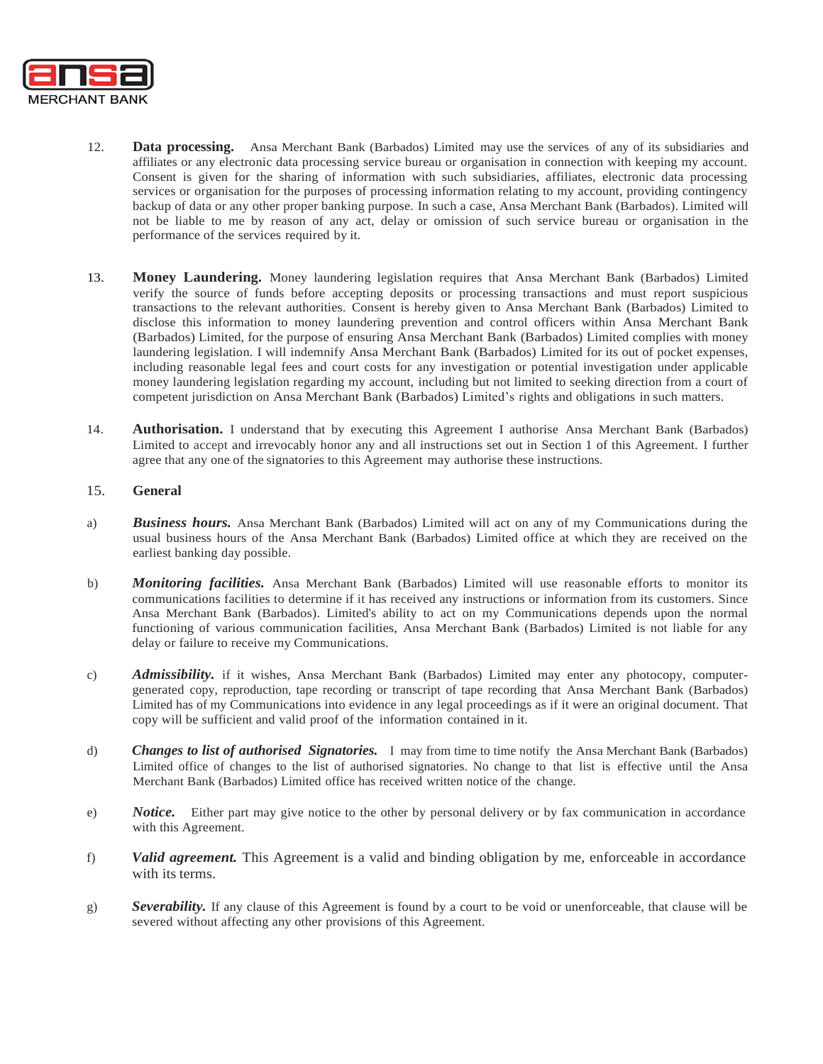

- 12. **Data processing.** Ansa Merchant Bank (Barbados) Limited may use the services of any of its subsidiaries and affiliates or any electronic data processing service bureau or organisation in connection with keeping my account. Consent is given for the sharing of information with such subsidiaries, affiliates, electronic data processing services or organisation for the purposes of processing information relating to my account, providing contingency backup of data or any other proper banking purpose. In such a case, Ansa Merchant Bank (Barbados). Limited will not be liable to me by reason of any act, delay or omission of such service bureau or organisation in the performance of the services required by it.
- 13. **Money Laundering.** Money laundering legislation requires that Ansa Merchant Bank (Barbados) Limited verify the source of funds before accepting deposits or processing transactions and must report suspicious transactions to the relevant authorities. Consent is hereby given to Ansa Merchant Bank (Barbados) Limited to disclose this information to money laundering prevention and control officers within Ansa Merchant Bank (Barbados) Limited, for the purpose of ensuring Ansa Merchant Bank (Barbados) Limited complies with money laundering legislation. I will indemnify Ansa Merchant Bank (Barbados) Limited for its out of pocket expenses, including reasonable legal fees and court costs for any investigation or potential investigation under applicable money laundering legislation regarding my account, including but not limited to seeking direction from a court of competent jurisdiction on Ansa Merchant Bank (Barbados) Limited's rights and obligations in such matters.
- 14. **Authorisation.** I understand that by executing this Agreement I authorise Ansa Merchant Bank (Barbados) Limited to accept and irrevocably honor any and all instructions set out in Section 1 of this Agreement. I further agree that any one of the signatories to this Agreement may authorise these instructions.

## 15. **General**

- a) *Business hours.* Ansa Merchant Bank (Barbados) Limited will act on any of my Communications during the usual business hours of the Ansa Merchant Bank (Barbados) Limited office at which they are received on the earliest banking day possible.
- b) *Monitoring facilities.* Ansa Merchant Bank (Barbados) Limited will use reasonable efforts to monitor its communications facilities to determine if it has received any instructions or information from its customers. Since Ansa Merchant Bank (Barbados). Limited's ability to act on my Communications depends upon the normal functioning of various communication facilities, Ansa Merchant Bank (Barbados) Limited is not liable for any delay or failure to receive my Communications.
- c) *Admissibility*. if it wishes, Ansa Merchant Bank (Barbados) Limited may enter any photocopy, computergenerated copy, reproduction, tape recording or transcript of tape recording that Ansa Merchant Bank (Barbados) Limited has of my Communications into evidence in any legal proceedings as if it were an original document. That copy will be sufficient and valid proof of the information contained in it.
- d) *Changes to list of authorised Signatories.* I may from time to time notify the Ansa Merchant Bank (Barbados) Limited office of changes to the list of authorised signatories. No change to that list is effective until the Ansa Merchant Bank (Barbados) Limited office has received written notice of the change.
- e) *Notice.* Either part may give notice to the other by personal delivery or by fax communication in accordance with this Agreement.
- f) *Valid agreement.* This Agreement is a valid and binding obligation by me, enforceable in accordance with its terms.
- g) *Severability.* If any clause of this Agreement is found by a court to be void or unenforceable, that clause will be severed without affecting any other provisions of this Agreement.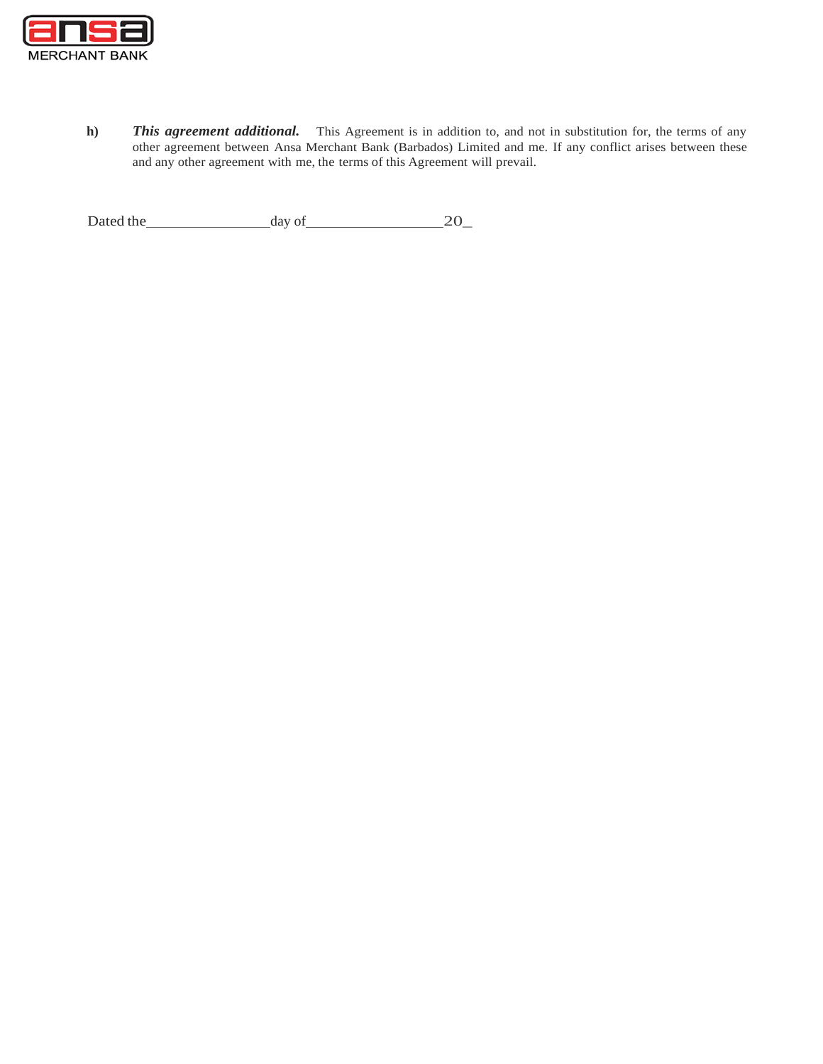

**h)** *This agreement additional.* This Agreement is in addition to, and not in substitution for, the terms of any other agreement between Ansa Merchant Bank (Barbados) Limited and me. If any conflict arises between these and any other agreement with me, the terms of this Agreement will prevail.

Dated the  $\qquad \qquad \text{day of} \qquad \qquad 20 \qquad$